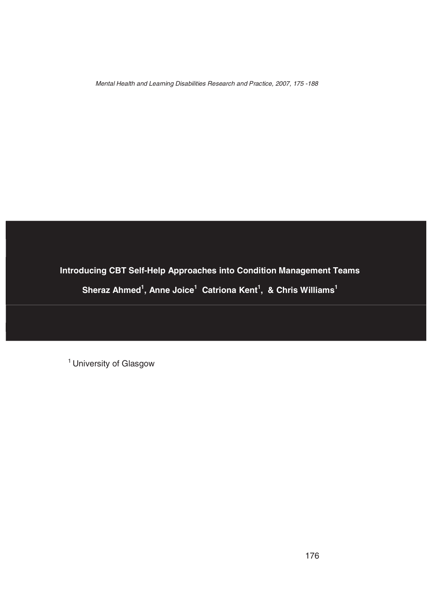*Mental Health and Learning Disabilities Research and Practice, 2007, <sup>175</sup> -188*

**Introducing CBT Self-Help Approaches into Condition Management Teams Sheraz Ahmed<sup>1</sup> , Anne Joice <sup>1</sup> Catriona Kent<sup>1</sup> , & Chris Williams 1**

*<sup>1</sup> University of Glasgow*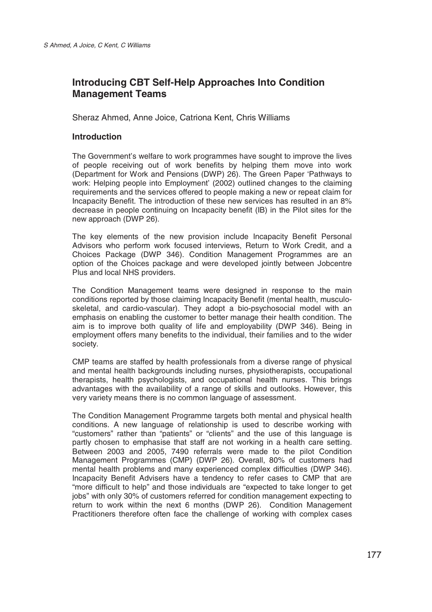# **Introducing CBT Self-Help Approaches Into Condition Management Teams**

*Sheraz Ahmed, Anne Joice, Catriona Kent, Chris Williams*

# **Introduction**

*The Government's welfare to work programmes have sought to improve the lives of people receiving out of work benefits by helping them move into work (Department for Work and Pensions (DWP) 26). The Green Paper 'Pathways to work: Helping people into Employment' (2002) outlined changes to the claiming requirements and the services offered to people making a new or repeat claim for Incapacity Benefit. The introduction of these new services has resulted in an 8% decrease in people continuing on Incapacity benefit (IB) in the Pilot sites for the new approach (DWP 26).*

*The key elements of the new provision include Incapacity Benefit Personal Advisors who perform work focused interviews, Return to Work Credit, and a Choices Package (DWP 346). Condition Management Programmes are an option of the Choices package and were developed jointly between Jobcentre Plus and local NHS providers.*

*The Condition Management teams were designed in response to the main conditions reported by those claiming Incapacity Benefit (mental health, musculoskeletal, and cardio-vascular). They adopt a bio-psychosocial model with an emphasis on enabling the customer to better manage their health condition. The aim is to improve both quality of life and employability (DWP 346). Being in employment offers many benefits to the individual, their families and to the wider society.*

*CMP teams are staffed by health professionals from a diverse range of physical and mental health backgrounds including nurses, physiotherapists, occupational therapists, health psychologists, and occupational health nurses. This brings advantages with the availability of a range of skills and outlooks. However, this very variety means there is no common language of assessment.*

*The Condition Management Programme targets both mental and physical health conditions. A new language of relationship is used to describe working with "customers" rather than "patients" or "clients" and the use of this language is partly chosen to emphasise that staff are not working in a health care setting. Between 2003 and 2005, 7490 referrals were made to the pilot Condition Management Programmes (CMP) (DWP 26). Overall, 80% of customers had mental health problems and many experienced complex difficulties (DWP 346). Incapacity Benefit Advisers have a tendency to refer cases to CMP that are "more difficult to help" and those individuals are "expected to take longer to get jobs" with only 30% of customers referred for condition management expecting to return to work within the next 6 months (DWP 26). Condition Management Practitioners therefore often face the challenge of working with complex cases*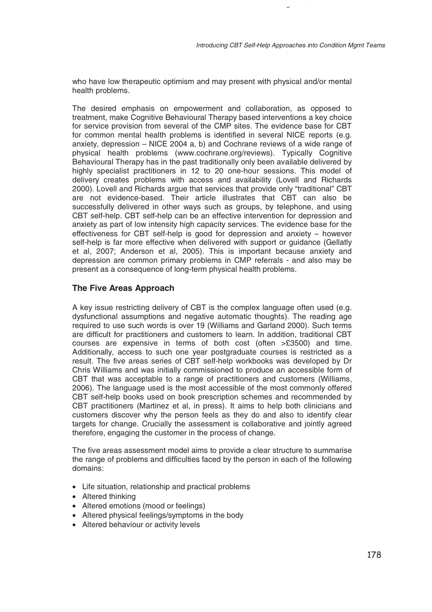*Condition Mgmt Teams*

*who have low therapeutic optimism and may present with physical and/or mental health problems.*

*The desired emphasis on empowerment and collaboration, as opposed to treatment, make Cognitive Behavioural Therapy based interventions a key choice for service provision from several of the CMP sites. The evidence base for CBT for common mental health problems is identified in several NICE reports (e.g. anxiety, depression – NICE 2004 a, b) and Cochrane reviews of a wide range of physical health problems (www.cochrane.org/reviews). Typically Cognitive Behavioural Therapy has in the past traditionally only been available delivered by highly specialist practitioners in 12 to 20 one-hour sessions. This model of delivery creates problems with access and availability (Lovell and Richards 2000). Lovell and Richards argue that services that provide only "traditional" CBT are not evidence-based. Their article illustrates that CBT can also be successfully delivered in other ways such as groups, by telephone, and using CBT self-help. CBT self-help can be an effective intervention for depression and anxiety as part of low intensity high capacity services. The evidence base for the effectiveness for CBT self-help is good for depression and anxiety – however self-help is far more effective when delivered with support or guidance (Gellatly et al, 2007; Anderson et al, 2005). This is important because anxiety and depression are common primary problems in CMP referrals - and also may be present as a consequence of long-term physical health problems.*

### **The Five Areas Approach**

*A key issue restricting delivery of CBT is the complex language often used (e.g. dysfunctional assumptions and negative automatic thoughts). The reading age required to use such words is over 19 (Williams and Garland 2000). Such terms are difficult for practitioners and customers to learn. In addition, traditional CBT courses are expensive in terms of both cost (often >£3500) and time. Additionally, access to such one year postgraduate courses is restricted as a result. The five areas series of CBT self-help workbooks was developed by Dr Chris Williams and was initially commissioned to produce an accessible form of CBT that was acceptable to a range of practitioners and customers (Williams, 2006). The language used is the most accessible of the most commonly offered CBT self-help books used on book prescription schemes and recommended by CBT practitioners (Martinez et al, in press). It aims to help both clinicians and customers discover why the person feels as they do and also to identify clear targets for change. Crucially the assessment is collaborative and jointly agreed therefore, engaging the customer in the process of change.*

*The five areas assessment model aims to provide a clear structure to summarise the range of problems and difficulties faced by the person in each of the following domains:*

- *Life situation, relationship and practical problems*
- *Altered thinking*
- *Altered emotions (mood or feelings)*
- *Altered physical feelings/symptoms in the body*
- *Altered behaviour or activity levels*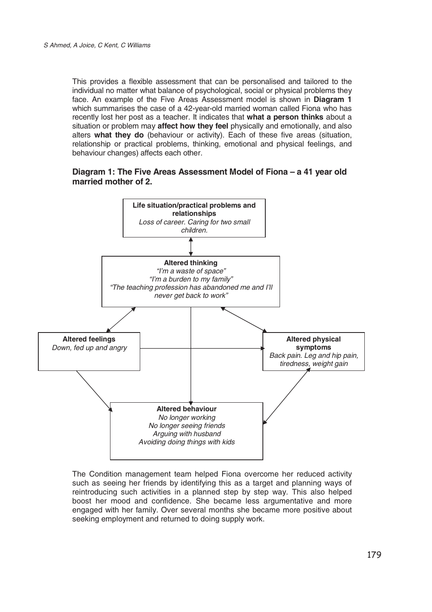*This provides a flexible assessment that can be personalised and tailored to the individual no matter what balance of psychological, social or physical problems they face. An example of the Five Areas Assessment model is shown in* **Diagram 1** *which summarises the case of a 42-year-old married woman called Fiona who has recently lost her post as a teacher. It indicates that* **what a person thinks** *about a situation or problem may* **affect how they feel** *physically and emotionally, and also alters* **what they do** *(behaviour or activity). Each of these five areas (situation, relationship or practical problems, thinking, emotional and physical feelings, and behaviour changes) affects each other.*

### **Diagram 1: The Five Areas Assessment Model of Fiona – a 41 year old married mother of 2.**



*The Condition management team helped Fiona overcome her reduced activity such as seeing her friends by identifying this as a target and planning ways of reintroducing such activities in a planned step by step way. This also helped boost her mood and confidence. She became less argumentative and more engaged with her family. Over several months she became more positive about seeking employment and returned to doing supply work.*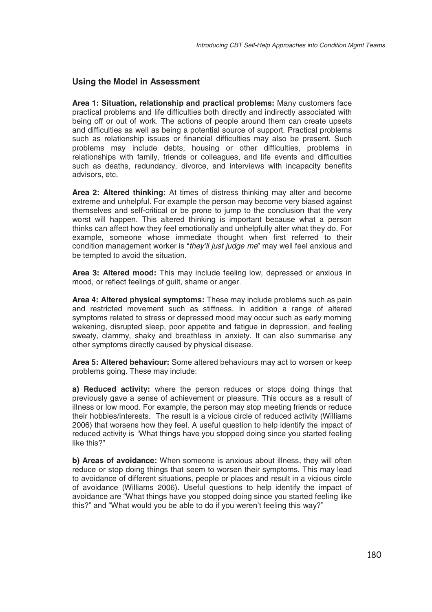### **Using the Model in Assessment**

**Area 1: Situation, relationship and practical problems:** *Many customers face practical problems and life difficulties both directly and indirectly associated with being off or out of work. The actions of people around them can create upsets and difficulties as well as being a potential source of support. Practical problems such as relationship issues or financial difficulties may also be present. Such problems may include debts, housing or other difficulties, problems in relationships with family, friends or colleagues, and life events and difficulties such as deaths, redundancy, divorce, and interviews with incapacity benefits advisors, etc.*

**Area 2: Altered thinking:** *At times of distress thinking may alter and become extreme and unhelpful. For example the person may become very biased against themselves and self-critical or be prone to jump to the conclusion that the very worst will happen. This altered thinking is important because what a person thinks can affect how they feel emotionally and unhelpfully alter what they do. For example, someone whose immediate thought when first referred to their condition management worker is "they'll just judge me" may well feel anxious and be tempted to avoid the situation.*

**Area 3: Altered mood:** *This may include feeling low, depressed or anxious in mood, or reflect feelings of guilt, shame or anger.*

**Area 4: Altered physical symptoms:** *These may include problems such as pain and restricted movement such as stiffness. In additionarange of altered symptoms related to stress or depressed mood may occur such as early morning wakening, disrupted sleep, poor appetite and fatigue in depression, and feeling sweaty, clammy, shaky and breathless in anxiety. It can also summarise any other symptoms directly caused by physical disease.*

**Area 5: Altered behaviour:** *Some altered behaviours may act to worsen or keep problems going. These may include:*

**a) Reduced activity:** *where the person reduces or stops doing things that previously gave a sense of achievement or pleasure. This occurs as a result of illness or low mood. For example, the person may stop meeting friends or reduce their hobbies/interests. The result is a vicious circle of reduced activity (Williams 2006) that worsens how they feel. A useful question to help identify the impact of reduced activity is "What things have you stopped doing since you started feeling like this?"*

**b) Areas of avoidance:** *When someone is anxious about illness, they will often reduce or stop doing things that seem to worsen their symptoms. This may lead to avoidance of different situations, people or places and result in a vicious circle of avoidance (Williams 2006). Useful questions to help identify the impact of avoidance are "What things have you stopped doing since you started feeling like this?" and "What would you be able to do if you weren't feeling this way?"*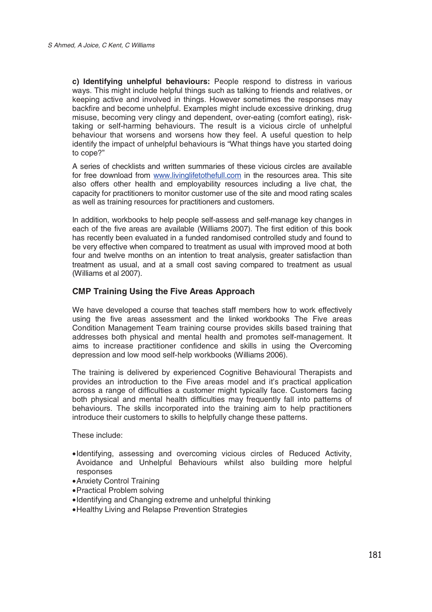**c) Identifying unhelpful behaviours:** *People respond to distress in various ways. This might include helpful things such as talking to friends and relatives, or keeping active and involved in things. However sometimes the responses may backfire and become unhelpful. Examples might include excessive drinking, drug misuse, becoming very clingy and dependent, over-eating (comfort eating), risktaking or self-harming behaviours. The result is a vicious circle of unhelpful behaviour that worsens and worsens how they feel. A useful question to help identify the impact of unhelpful behaviours is "What things have you started doing to cope?"*

*A series of checklists and written summaries of these vicious circles are available for free download from www.livinglifetothefull.com in the resources area. This site also offers other health and employability resources including a live chat, the capacity for practitioners to monitor customer use of the site and mood rating scales as well as training resources for practitioners and customers.*

*In addition, workbooks to help people self-assess and self-manage key changes in each of the five areas are available (Williams 2007). The first edition of this book has recently been evaluated in a funded randomised controlled study and found to be very effective when compared to treatment as usual with improved mood at both four and twelve months on an intention to treat analysis, greater satisfaction than treatment as usual, and at a small cost saving compared to treatment as usual (Williams et al 2007).*

# **CMP Training Using the Five Areas Approach**

*We have developed a course that teaches staff members how to work effectively using the five areas assessment and the linked workbooks The Five areas Condition Management Team training course provides skills based training that addresses both physical and mental health and promotes self-management. It aims to increase practitioner confidence and skills in using the Overcoming depression and low mood self-help workbooks (Williams 2006).*

*The training is delivered by experienced Cognitive Behavioural Therapists and provides an introduction to the Five areas model and it's practical application across a range of difficulties a customer might typically face. Customers facing both physical and mental health difficulties may frequently fall into patterns of behaviours. The skills incorporated into the training aim to help practitioners introduce their customers to skills to helpfully change these patterns.*

*These include:*

- •*Identifying, assessing and overcoming vicious circles of Reduced Activity, Avoidance and Unhelpful Behaviours whilst also building more helpful responses*
- •*Anxiety Control Training*
- •*Practical Problem solving*
- •*Identifying and Changing extreme and unhelpful thinking*
- •*Healthy Living and Relapse Prevention Strategies*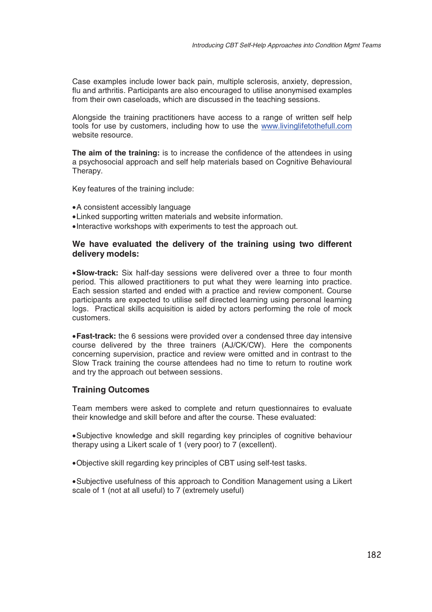*Case examples include lower back pain, multiple sclerosis, anxiety, depression, flu and arthritis. Participants are also encouraged to utilise anonymised examples from their own caseloads, which are discussed in the teaching sessions.*

*Alongside the training practitioners have access to a range of written self help tools for use by customers, including how to use the www.livinglifetothefull.com website resource.*

**The aim of the training:** *is to increase the confidence of the attendees in using a psychosocial approach and self help materials based on Cognitive Behavioural Therapy.*

*Key features of the training include:*

- •*A consistent accessibly language*
- •*Linked supporting written materials and website information.*
- •*Interactive workshops with experiments to test the approach out.*

### **We have evaluated the delivery of the training using two different delivery models:**

•**Slow-track:** *Six half-day sessions were delivered over a three to four month period. This allowed practitioners to put what they were learning into practice. Each session started and ended with a practice and review component. Course participants are expected to utilise self directed learning using personal learning logs. Practical skills acquisition is aided by actors performing the role of mock customers.*

•**Fast-track:** *the 6 sessions were provided over a condensed three day intensive course delivered by the three trainers (AJ/CK/CW). Here the components concerning supervision, practice and review were omitted and in contrast to the Slow Track training the course attendees had no time to return to routine work and try the approach out between sessions.*

#### **Training Outcomes**

*Team members were asked to complete and return questionnaires to evaluate their knowledge and skill before and after the course. These evaluated:*

•*Subjective knowledge and skill regarding key principles of cognitive behaviour therapy using a Likert scale of 1 (very poor) to 7 (excellent).*

•*Objective skill regarding key principles of CBT using self-test tasks.*

•*Subjective usefulness of this approach to Condition Management using a Likert scale of 1 (not at all useful) to 7 (extremely useful)*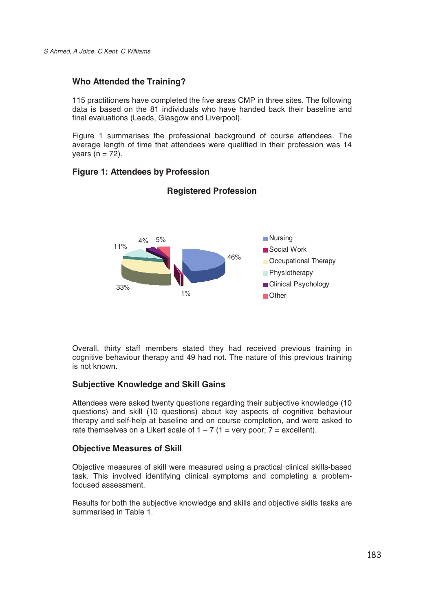# **Who Attended the Training?**

*115 practitioners have completed the five areas CMP in three sites. The following data is based on the 81 individuals who have handed back their baseline and final evaluations (Leeds, Glasgow and Liverpool).*

*Figure 1 summarises the professional background of course attendees. The average length of time that attendees were qualified in their profession was 14 years (n = 72).*

# **Figure 1: Attendees by Profession**



# **Registered Profession**

*Overall, thirty staff members stated they had received previous training in cognitive behaviour therapy and 49 had not. The nature of this previous training is not known.*

# **Subjective Knowledge and Skill Gains**

*Attendees were asked twenty questions regarding their subjective knowledge (10 questions) and skill (10 questions) about key aspects of cognitive behaviour therapy and self-help at baseline and on course completion, and were asked to* rate themselves on a Likert scale of  $1 - 7$  ( $1 =$  very poor;  $7 =$  excellent).

# **Objective Measures of Skill**

*Objective measures of skill were measured using a practical clinical skills-based task. This involved identifying clinical symptoms and completing a problemfocused assessment.*

*Results for both the subjective knowledge and skills and objective skills tasks are summarised in Table 1.*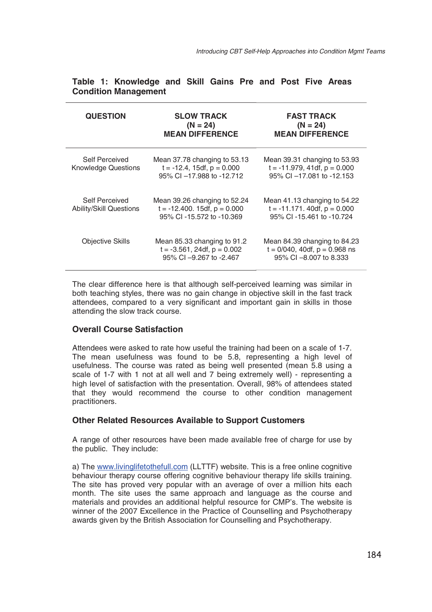| <b>QUESTION</b>                                  | <b>SLOW TRACK</b><br>$(N = 24)$<br><b>MEAN DIFFERENCE</b>                                     | <b>FAST TRACK</b><br>$(N = 24)$<br><b>MEAN DIFFERENCE</b>                                      |
|--------------------------------------------------|-----------------------------------------------------------------------------------------------|------------------------------------------------------------------------------------------------|
| Self Perceived<br><b>Knowledge Questions</b>     | Mean 37.78 changing to 53.13<br>$t = -12.4$ , 15df, $p = 0.000$<br>95% CI -17.988 to -12.712  | Mean 39.31 changing to 53.93<br>$t = -11.979$ , 41df, $p = 0.000$<br>95% CI -17.081 to -12.153 |
| Self Perceived<br><b>Ability/Skill Questions</b> | Mean 39.26 changing to 52.24<br>$t = -12.400$ . 15df, $p = 0.000$<br>95% CI-15.572 to -10.369 | Mean 41.13 changing to 54.22<br>$t = -11.171$ . 40df, $p = 0.000$<br>95% CI-15.461 to -10.724  |
| <b>Objective Skills</b>                          | Mean 85.33 changing to 91.2<br>$t = -3.561$ , 24df, $p = 0.002$<br>95% CI -9.267 to -2.467    | Mean 84.39 changing to 84.23<br>$t = 0/040$ , 40df, $p = 0.968$ ns<br>95% CI -8,007 to 8,333   |

# **Table 1: Knowledge and Skill Gains Pre and Post Five Areas Condition Management**

*The clear difference here is that although self-perceived learning was similar in both teaching styles, there was no gain change in objective skill in the fast track attendees, compared to a very significant and important gain in skills in those attending the slow track course.*

# **Overall Course Satisfaction**

*Attendees were asked to rate how useful the training had been on a scale of 1-7. The mean usefulness was found to be 5.8, representing a high level of usefulness. The course was rated as being well presented (mean 5.8 using a scale of 1-7 with 1 not at all well and 7 being extremely well) - representing a high level of satisfaction with the presentation. Overall, 98% of attendees stated that they would recommend the course to other condition management practitioners.*

# **Other Related Resources Available to Support Customers**

*A range of other resources have been made available free of charge for use by the public. They include:*

*a) The www.livinglifetothefull.com (LLTTF) website. This is a free online cognitive behaviour therapy course offering cognitive behaviour therapy life skills training. The site has proved very popular with an average of over a million hits each month. The site uses the same approach and language as the course and materials and provides an additional helpful resource for CMP's. The website is winner of the 2007 Excellence in the Practice of Counselling and Psychotherapy awards given by the British Association for Counselling and Psychotherapy.*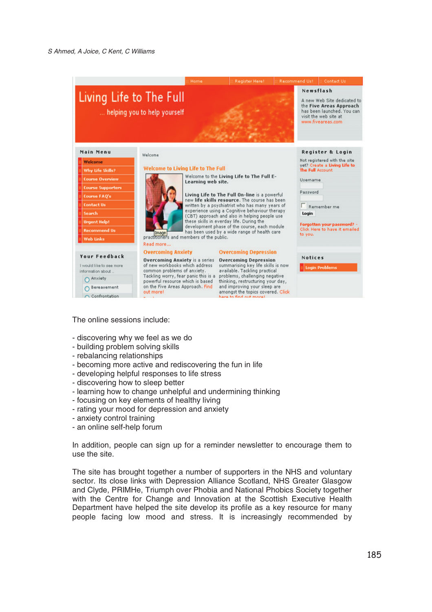

*The online sessions include:*

- *discovering why we feel as we do*
- *building problem solving skills*
- *rebalancing relationships*
- *becoming more active and rediscovering the fun in life*
- *developing helpful responses to life stress*
- *discovering how to sleep better*
- *learning how to change unhelpful and undermining thinking*
- *focusing on key elements of healthy living*
- *rating your mood for depression and anxiety*
- *anxiety control training*
- *an online self-help forum*

*In addition, people can sign up for a reminder newsletter to encourage them to use the site.*

*The site has brought together a number of supporters in the NHS and voluntary sector. Its close links with Depression Alliance Scotland, NHS Greater Glasgow and Clyde, PRIMHe, Triumph over Phobia and National Phobics Society together with the Centre for Change and Innovation at the Scottish Executive Health Department have helped the site develop its profile as a key resource for many people facing low mood and stress. It is increasingly recommended by*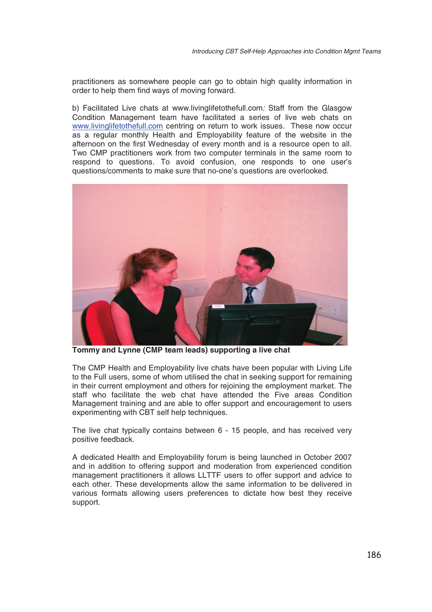*practitioners as somewhere people can go to obtain high quality information in order to help them find ways of moving forward.*

*b) Facilitated Live chats at www.livinglifetothefull.com: Staff from the Glasgow Condition Management team have facilitated a series of live web chats on www.livinglifetothefull.com centring on return to work issues. These now occur as a regular monthly Health and Employability feature of the website in the afternoon on the first Wednesday of every month and is a resource open to all. Two CMP practitioners work from two computer terminals in the same room to respond to questions. To avoid confusion, one responds to one user's questions/comments to make sure that no-one's questions are overlooked.*



**Tommy and Lynne (CMP team leads) supporting a live chat**

*The CMP Health and Employability live chats have been popular with Living Life to the Full users, some of whom utilised the chat in seeking support for remaining in their current employment and others for rejoining the employment market. The staff who facilitate the web chat have attended the Five areas Condition Management training and are able to offer support and encouragement to users experimenting with CBT self help techniques.*

*The live chat typically contains between 6 - 15 people, and has received very positive feedback.*

*A dedicated Health and Employability forum is being launched in October 2007 and in addition to offering support and moderation from experienced condition management practitioners it allows LLTTF users to offer support and advice to each other. These developments allow the same information to be delivered in various formats allowing users preferences to dictate how best they receive support.*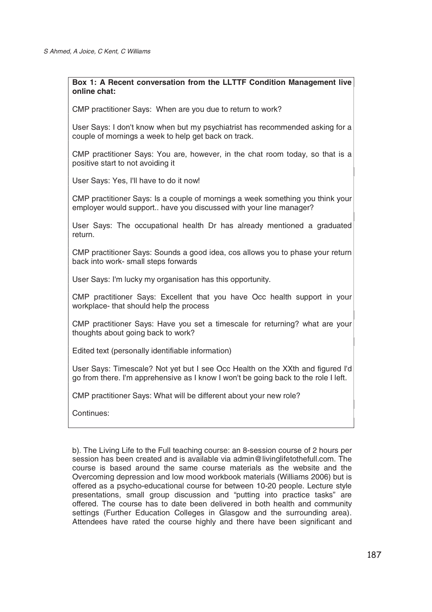### **Box 1: A Recent conversation from the LLTTF Condition Management live online chat:**

*CMP practitioner Says: When are you due to return to work?*

*User Says: I don't know when but my psychiatrist has recommended asking for a couple of mornings a week to help get back on track.*

*CMP practitioner Says: You are, however, in the chat room today, so that is a positive start to not avoiding it*

*User Says: Yes, I'll have to do it now!*

*CMP practitioner Says: Is a couple of mornings a week something you think your employer would support.. have you discussed with your line manager?*

*User Says: The occupational health Dr has already mentioned a graduated return.*

*CMP practitioner Says: Sounds a good idea, cos allows you to phase your return back into work- small steps forwards*

*User Says: I'm lucky my organisation has this opportunity.*

*CMP practitioner Says: Excellent that you have Occ health support in your workplace- that should help the process*

*CMP practitioner Says: Have you set a timescale for returning? what are your thoughts about going back to work?*

*Edited text (personally identifiable information)*

*User Says: Timescale? Not yet but I see Occ Health on the XXth and figured I'd go from there. I'm apprehensive as I know I won't be going back to the role I left.*

*CMP practitioner Says: What will be different about your new role?*

*Continues:*

*b). The Living Life to the Full teaching course: an 8-session course of 2 hours per session has been created and is available via admin@livinglifetothefull.com. The course is based around the same course materials as the website and the Overcoming depression and low mood workbook materials (Williams 2006) but is offered as a psycho-educational course for between 10-20 people. Lecture style presentations, small group discussion and "putting into practice tasks" are offered. The course has to date been delivered in both health and community settings (Further Education Colleges in Glasgow and the surrounding area). Attendees have rated the course highly and there have been significant and*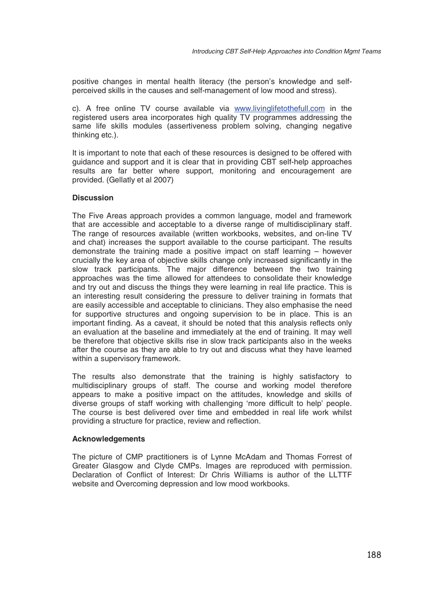*positive changes in mental health literacy (the person's knowledge and selfperceived skills in the causes and self-management of low mood and stress).*

*c). A free online TV course available via www.livinglifetothefull.com in the registered users area incorporates high quality TV programmes addressing the same life skills modules (assertiveness problem solving, changing negative thinking etc.).*

*It is important to note that each of these resources is designed to be offered with guidance and support and it is clear that in providing CBT self-help approaches results are far better where support, monitoring and encouragement are provided. (Gellatly et al 2007)*

#### **Discussion**

*The Five Areas approach provides a common language, model and framework that are accessible and acceptable to a diverse range of multidisciplinary staff. The range of resources available (written workbooks, websites, and on-line TV and chat) increases the support available to the course participant. The results demonstrate the training made a positive impact on staff learning – however crucially the key area of objective skills change only increased significantly in the slow track participants. The major difference between the two training approaches was the time allowed for attendees to consolidate their knowledge and try out and discuss the things they were learning in real life practice. This is an interesting result considering the pressure to deliver training in formats that are easily accessible and acceptable to clinicians. They also emphasise the need for supportive structures and ongoing supervision to be in place. This is an important finding. As a caveat, it should be noted that this analysis reflects only an evaluation at the baseline and immediately at the end of training. It may well be therefore that objective skills rise in slow track participants also in the weeks after the course as they are able to try out and discuss what they have learned within a supervisory framework.*

*The results also demonstrate that the training is highly satisfactory to multidisciplinary groups of staff. The course and working model therefore appears to make a positive impact on the attitudes, knowledge and skills of diverse groups of staff working with challenging 'more difficult to help' people. The course is best delivered over time and embedded in real life work whilst providingastructure for practice, review and reflection.*

#### **Acknowledgements**

*The picture of CMP practitioners is of Lynne McAdam and Thomas Forrest of Greater Glasgow and Clyde CMPs. Images are reproduced with permission. Declaration of Conflict of Interest: Dr Chris Williams is author of the LLTTF website and Overcoming depression and low mood workbooks.*